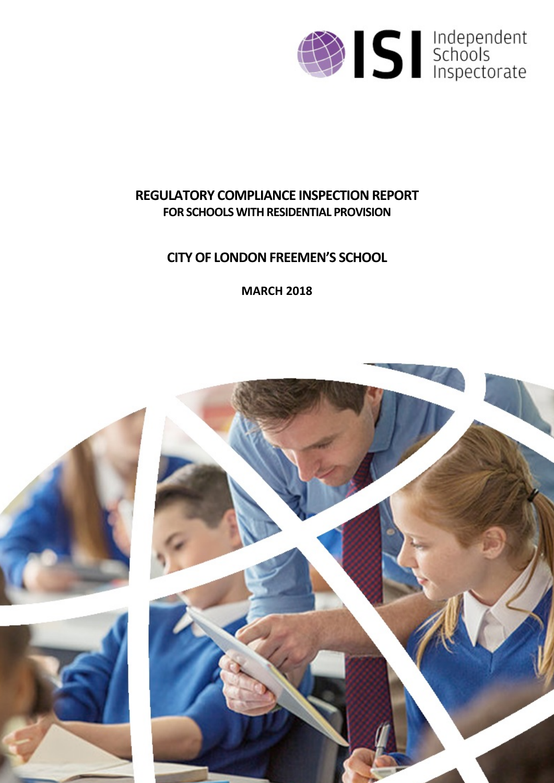

# **REGULATORY COMPLIANCE INSPECTION REPORT FOR SCHOOLS WITH RESIDENTIAL PROVISION**

# **CITYOF LONDONFREEMEN'S SCHOOL**

**MARCH 2018**

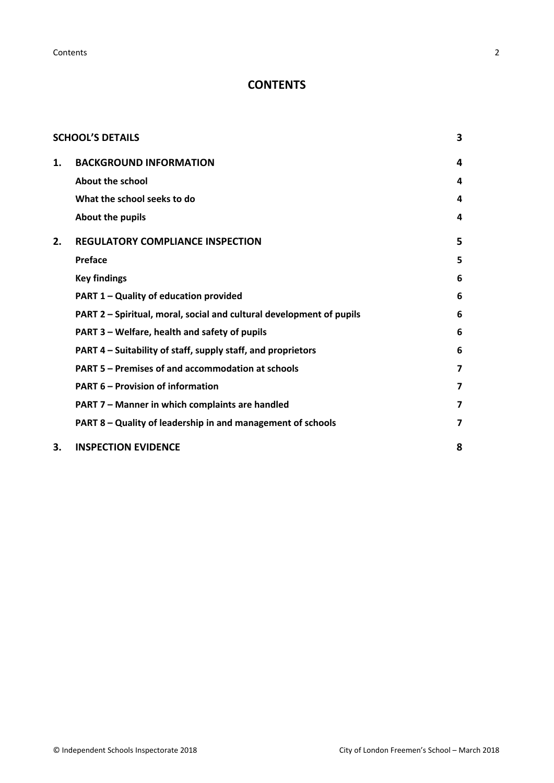**Contents** 2

# **CONTENTS**

|    | <b>SCHOOL'S DETAILS</b>                                              | 3              |
|----|----------------------------------------------------------------------|----------------|
| 1. | <b>BACKGROUND INFORMATION</b>                                        | 4              |
|    | <b>About the school</b>                                              | 4              |
|    | What the school seeks to do                                          | 4              |
|    | About the pupils                                                     | $\overline{a}$ |
| 2. | <b>REGULATORY COMPLIANCE INSPECTION</b>                              | 5              |
|    | Preface                                                              | 5              |
|    | <b>Key findings</b>                                                  | 6              |
|    | PART 1 - Quality of education provided                               | 6              |
|    | PART 2 - Spiritual, moral, social and cultural development of pupils | 6              |
|    | PART 3 – Welfare, health and safety of pupils                        | 6              |
|    | PART 4 - Suitability of staff, supply staff, and proprietors         | 6              |
|    | PART 5 - Premises of and accommodation at schools                    | 7              |
|    | <b>PART 6 - Provision of information</b>                             | 7              |
|    | PART 7 - Manner in which complaints are handled                      | 7              |
|    | PART 8 - Quality of leadership in and management of schools          | 7              |
| 3. | <b>INSPECTION EVIDENCE</b>                                           | 8              |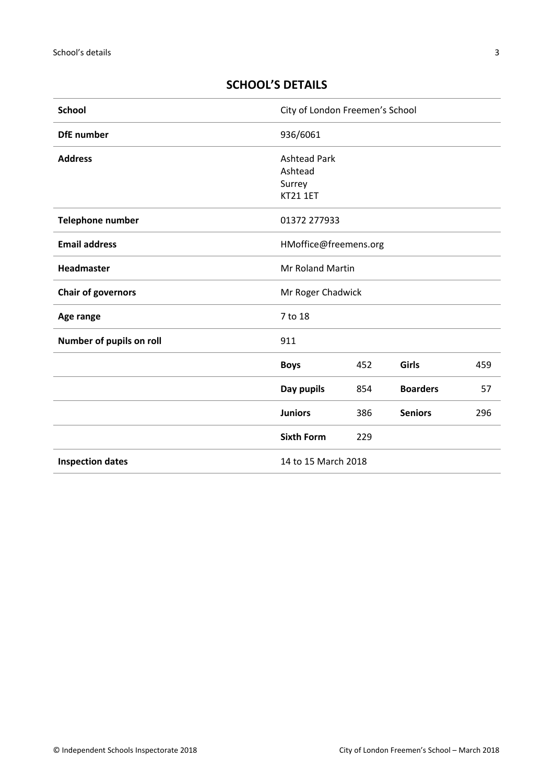# <span id="page-2-0"></span>**SCHOOL'S DETAILS**

| <b>School</b>             | City of London Freemen's School                             |     |                 |     |
|---------------------------|-------------------------------------------------------------|-----|-----------------|-----|
| <b>DfE</b> number         | 936/6061                                                    |     |                 |     |
| <b>Address</b>            | <b>Ashtead Park</b><br>Ashtead<br>Surrey<br><b>KT21 1ET</b> |     |                 |     |
| Telephone number          | 01372 277933                                                |     |                 |     |
| <b>Email address</b>      | HMoffice@freemens.org                                       |     |                 |     |
| <b>Headmaster</b>         | Mr Roland Martin                                            |     |                 |     |
| <b>Chair of governors</b> | Mr Roger Chadwick                                           |     |                 |     |
| Age range                 | 7 to 18                                                     |     |                 |     |
| Number of pupils on roll  | 911                                                         |     |                 |     |
|                           | <b>Boys</b>                                                 | 452 | <b>Girls</b>    | 459 |
|                           | Day pupils                                                  | 854 | <b>Boarders</b> | 57  |
|                           | <b>Juniors</b>                                              | 386 | <b>Seniors</b>  | 296 |
|                           | <b>Sixth Form</b>                                           | 229 |                 |     |
| <b>Inspection dates</b>   | 14 to 15 March 2018                                         |     |                 |     |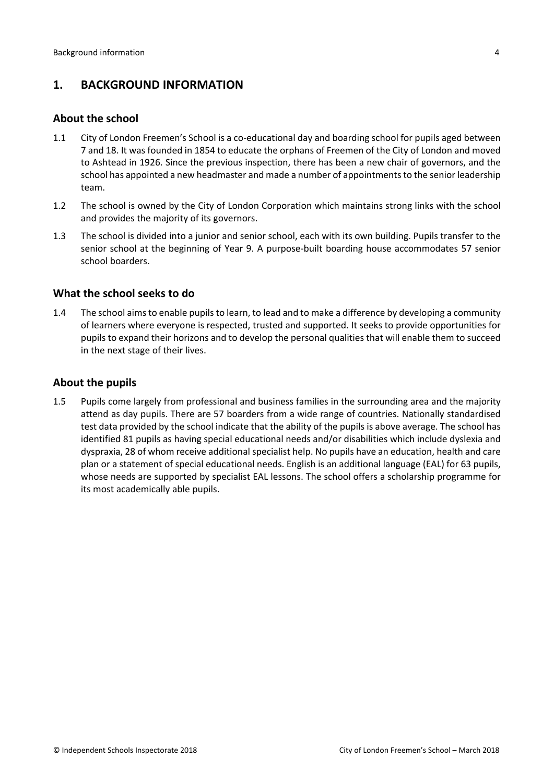# <span id="page-3-0"></span>**1. BACKGROUND INFORMATION**

### <span id="page-3-1"></span>**About the school**

- 1.1 City of London Freemen's School is a co-educational day and boarding school for pupils aged between 7 and 18. It was founded in 1854 to educate the orphans of Freemen of the City of London and moved to Ashtead in 1926. Since the previous inspection, there has been a new chair of governors, and the school has appointed a new headmaster and made a number of appointments to the senior leadership team.
- 1.2 The school is owned by the City of London Corporation which maintains strong links with the school and provides the majority of its governors.
- 1.3 The school is divided into a junior and senior school, each with its own building. Pupils transfer to the senior school at the beginning of Year 9. A purpose-built boarding house accommodates 57 senior school boarders.

## <span id="page-3-2"></span>**What the school seeks to do**

1.4 The school aimsto enable pupilsto learn, to lead and to make a difference by developing a community of learners where everyone is respected, trusted and supported. It seeks to provide opportunities for pupils to expand their horizons and to develop the personal qualities that will enable them to succeed in the next stage of their lives.

## <span id="page-3-3"></span>**About the pupils**

1.5 Pupils come largely from professional and business families in the surrounding area and the majority attend as day pupils. There are 57 boarders from a wide range of countries. Nationally standardised test data provided by the school indicate that the ability of the pupils is above average. The school has identified 81 pupils as having special educational needs and/or disabilities which include dyslexia and dyspraxia, 28 of whom receive additional specialist help. No pupils have an education, health and care plan or a statement of special educational needs. English is an additional language (EAL) for 63 pupils, whose needs are supported by specialist EAL lessons. The school offers a scholarship programme for its most academically able pupils.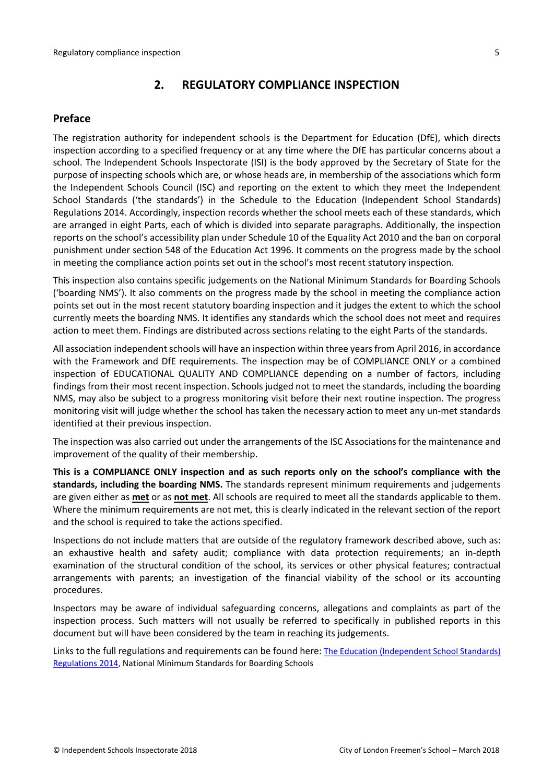# <span id="page-4-0"></span>**2. REGULATORY COMPLIANCE INSPECTION**

## <span id="page-4-1"></span>**Preface**

The registration authority for independent schools is the Department for Education (DfE), which directs inspection according to a specified frequency or at any time where the DfE has particular concerns about a school. The Independent Schools Inspectorate (ISI) is the body approved by the Secretary of State for the purpose of inspecting schools which are, or whose heads are, in membership of the associations which form the Independent Schools Council (ISC) and reporting on the extent to which they meet the Independent School Standards ('the standards') in the Schedule to the Education (Independent School Standards) Regulations 2014. Accordingly, inspection records whether the school meets each of these standards, which are arranged in eight Parts, each of which is divided into separate paragraphs. Additionally, the inspection reports on the school's accessibility plan under Schedule 10 of the Equality Act 2010 and the ban on corporal punishment under section 548 of the Education Act 1996. It comments on the progress made by the school in meeting the compliance action points set out in the school's most recent statutory inspection.

This inspection also contains specific judgements on the National Minimum Standards for Boarding Schools ('boarding NMS'). It also comments on the progress made by the school in meeting the compliance action points set out in the most recent statutory boarding inspection and it judges the extent to which the school currently meets the boarding NMS. It identifies any standards which the school does not meet and requires action to meet them. Findings are distributed across sections relating to the eight Parts of the standards.

All association independent schools will have an inspection within three yearsfrom April 2016, in accordance with the Framework and DfE requirements. The inspection may be of COMPLIANCE ONLY or a combined inspection of EDUCATIONAL QUALITY AND COMPLIANCE depending on a number of factors, including findings from their most recent inspection. Schools judged not to meet the standards, including the boarding NMS, may also be subject to a progress monitoring visit before their next routine inspection. The progress monitoring visit will judge whether the school has taken the necessary action to meet any un-met standards identified at their previous inspection.

The inspection was also carried out under the arrangements of the ISC Associations for the maintenance and improvement of the quality of their membership.

**This is a COMPLIANCE ONLY inspection and as such reports only on the school's compliance with the standards, including the boarding NMS.** The standards represent minimum requirements and judgements are given either as **met** or as **not met**. All schools are required to meet all the standards applicable to them. Where the minimum requirements are not met, this is clearly indicated in the relevant section of the report and the school is required to take the actions specified.

Inspections do not include matters that are outside of the regulatory framework described above, such as: an exhaustive health and safety audit; compliance with data protection requirements; an in-depth examination of the structural condition of the school, its services or other physical features; contractual arrangements with parents; an investigation of the financial viability of the school or its accounting procedures.

Inspectors may be aware of individual safeguarding concerns, allegations and complaints as part of the inspection process. Such matters will not usually be referred to specifically in published reports in this document but will have been considered by the team in reaching its judgements.

Links to the full regulations and requirements can be found here: The Education [\(Independent](http://www.legislation.gov.uk/uksi/2014/3283/contents/made) School Standards) [Regulations](http://www.legislation.gov.uk/uksi/2014/3283/contents/made) 2014, National Minimum [Standards](https://www.gov.uk/government/uploads/system/uploads/attachment_data/file/416186/20150319_nms_bs_standards.pdf) for Boarding Schools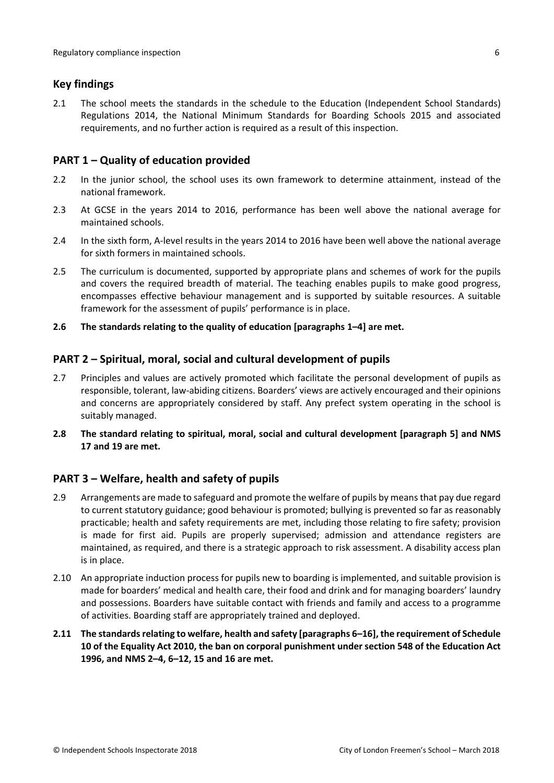## <span id="page-5-0"></span>**Key findings**

2.1 The school meets the standards in the schedule to the Education (Independent School Standards) Regulations 2014, the National Minimum Standards for Boarding Schools 2015 and associated requirements, and no further action is required as a result of this inspection.

## <span id="page-5-1"></span>**PART 1 – Quality of education provided**

- 2.2 In the junior school, the school uses its own framework to determine attainment, instead of the national framework.
- 2.3 At GCSE in the years 2014 to 2016, performance has been well above the national average for maintained schools.
- 2.4 In the sixth form, A-level results in the years 2014 to 2016 have been well above the national average for sixth formers in maintained schools.
- 2.5 The curriculum is documented, supported by appropriate plans and schemes of work for the pupils and covers the required breadth of material. The teaching enables pupils to make good progress, encompasses effective behaviour management and is supported by suitable resources. A suitable framework for the assessment of pupils' performance is in place.
- **2.6 The standards relating to the quality of education [paragraphs 1–4] are met.**

## <span id="page-5-2"></span>**PART 2 – Spiritual, moral, social and cultural development of pupils**

- 2.7 Principles and values are actively promoted which facilitate the personal development of pupils as responsible, tolerant, law-abiding citizens. Boarders' views are actively encouraged and their opinions and concerns are appropriately considered by staff. Any prefect system operating in the school is suitably managed.
- **2.8 The standard relating to spiritual, moral, social and cultural development [paragraph 5] and NMS 17 and 19 are met.**

## <span id="page-5-3"></span>**PART 3 – Welfare, health and safety of pupils**

- 2.9 Arrangements are made to safeguard and promote the welfare of pupils by meansthat pay due regard to current statutory guidance; good behaviour is promoted; bullying is prevented so far as reasonably practicable; health and safety requirements are met, including those relating to fire safety; provision is made for first aid. Pupils are properly supervised; admission and attendance registers are maintained, as required, and there is a strategic approach to risk assessment. A disability access plan is in place.
- 2.10 An appropriate induction process for pupils new to boarding is implemented, and suitable provision is made for boarders' medical and health care, their food and drink and for managing boarders' laundry and possessions. Boarders have suitable contact with friends and family and access to a programme of activities. Boarding staff are appropriately trained and deployed.
- <span id="page-5-4"></span>**2.11 The standardsrelating to welfare, health and safety [paragraphs 6–16], the requirement of Schedule 10 of the Equality Act 2010, the ban on corporal punishment under section 548 of the Education Act 1996, and NMS 2–4, 6–12, 15 and 16 are met.**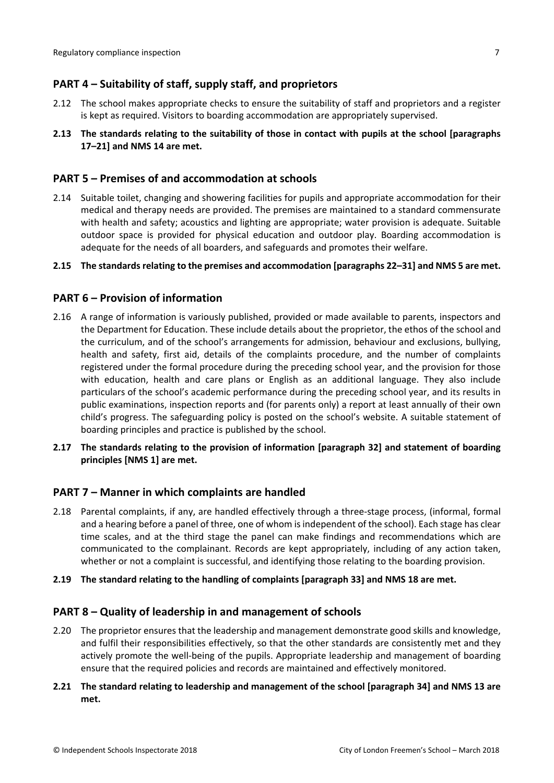## **PART 4 – Suitability of staff, supply staff, and proprietors**

- 2.12 The school makes appropriate checks to ensure the suitability of staff and proprietors and a register is kept as required. Visitors to boarding accommodation are appropriately supervised.
- **2.13 The standards relating to the suitability of those in contact with pupils at the school [paragraphs 17–21] and NMS 14 are met.**

### <span id="page-6-0"></span>**PART 5 – Premises of and accommodation at schools**

2.14 Suitable toilet, changing and showering facilities for pupils and appropriate accommodation for their medical and therapy needs are provided. The premises are maintained to a standard commensurate with health and safety; acoustics and lighting are appropriate; water provision is adequate. Suitable outdoor space is provided for physical education and outdoor play. Boarding accommodation is adequate for the needs of all boarders, and safeguards and promotes their welfare.

#### **2.15 The standardsrelating to the premises and accommodation [paragraphs 22–31] and NMS 5 are met.**

### <span id="page-6-1"></span>**PART 6 – Provision of information**

- 2.16 A range of information is variously published, provided or made available to parents, inspectors and the Department for Education. These include details about the proprietor, the ethos of the school and the curriculum, and of the school's arrangements for admission, behaviour and exclusions, bullying, health and safety, first aid, details of the complaints procedure, and the number of complaints registered under the formal procedure during the preceding school year, and the provision for those with education, health and care plans or English as an additional language. They also include particulars of the school's academic performance during the preceding school year, and its results in public examinations, inspection reports and (for parents only) a report at least annually of their own child's progress. The safeguarding policy is posted on the school's website. A suitable statement of boarding principles and practice is published by the school.
- **2.17 The standards relating to the provision of information [paragraph 32] and statement of boarding principles [NMS 1] are met.**

#### <span id="page-6-2"></span>**PART 7 – Manner in which complaints are handled**

- 2.18 Parental complaints, if any, are handled effectively through a three-stage process, (informal, formal and a hearing before a panel of three, one of whom is independent of the school). Each stage has clear time scales, and at the third stage the panel can make findings and recommendations which are communicated to the complainant. Records are kept appropriately, including of any action taken, whether or not a complaint is successful, and identifying those relating to the boarding provision.
- **2.19 The standard relating to the handling of complaints [paragraph 33] and NMS 18 are met.**

#### <span id="page-6-3"></span>**PART 8 – Quality of leadership in and management of schools**

2.20 The proprietor ensures that the leadership and management demonstrate good skills and knowledge, and fulfil their responsibilities effectively, so that the other standards are consistently met and they actively promote the well-being of the pupils. Appropriate leadership and management of boarding ensure that the required policies and records are maintained and effectively monitored.

### **2.21 The standard relating to leadership and management of the school [paragraph 34] and NMS 13 are met.**